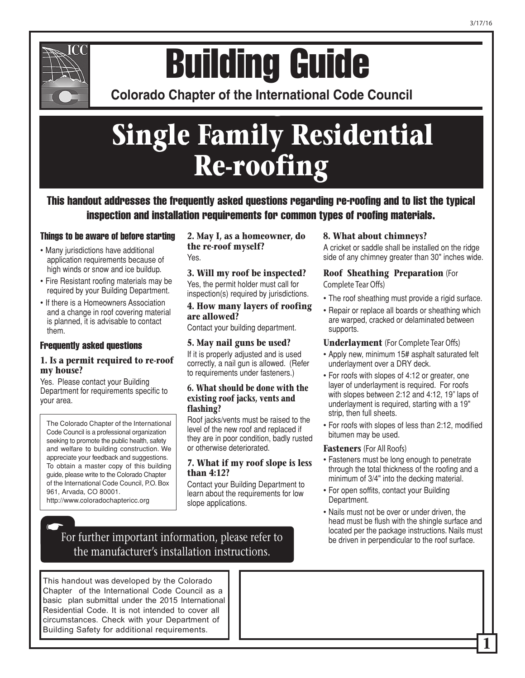

# **Colorado Chapter of the International Conference of Building Building Guide**

**Colorado Chapter of the International Code Council** 

# **Single Family Residential Re-roofing**

This handout addresses the frequently asked questions regarding re-roofing and to list the typical inspection and installation requirements for common types of roofing materials.

## Things to be aware of before starting

- Many jurisdictions have additional application requirements because of high winds or snow and ice buildup.
- Fire Resistant roofing materials may be required by your Building Department.
- If there is a Homeowners Association and a change in roof covering material is planned, it is advisable to contact them.

#### Frequently asked questions

#### **1. Is a permit required to re-roof my house?**

Yes. Please contact your Building Department for requirements specific to your area.

The Colorado Chapter of the International Code Council is a professional organization seeking to promote the public health, safety and welfare to building construction. We appreciate your feedback and suggestions. To obtain a master copy of this building guide, please write to the Colorado Chapter of the International Code Council, P.O. Box 961, Arvada, CO 80001. http://www.coloradochaptericc.org

 $\bullet$ 

**2. May I, as a homeowner, do the re-roof myself?** Yes.

#### **3. Will my roof be inspected?**

Yes, the permit holder must call for inspection(s) required by jurisdictions.

#### **4. How many layers of roofing are allowed?**

Contact your building department.

#### **5. May nail guns be used?**

If it is properly adjusted and is used correctly, a nail gun is allowed. (Refer to requirements under fasteners.)

#### **6. What should be done with the existing roof jacks, vents and flashing?**

Roof jacks/vents must be raised to the level of the new roof and replaced if they are in poor condition, badly rusted or otherwise deteriorated.

#### **7. What if my roof slope is less than 4:12?**

Contact your Building Department to learn about the requirements for low slope applications.

#### **8. What about chimneys?**

A cricket or saddle shall be installed on the ridge side of any chimney greater than 30" inches wide.

#### **Roof Sheathing Preparation (For Complete Tear Offs)**

- The roof sheathing must provide a rigid surface.
- Repair or replace all boards or sheathing which are warped, cracked or delaminated between supports.

#### **Underlayment** (For Complete Tear Offs)

- Apply new, minimum 15# asphalt saturated felt underlayment over a DRY deck.
- For roofs with slopes of 4:12 or greater, one layer of underlayment is required. For roofs with slopes between 2:12 and 4:12, 19" laps of underlayment is required, starting with a 19" strip, then full sheets.
- For roofs with slopes of less than 2:12, modified bitumen may be used.

#### **Fasteners (For All Roofs)**

- Fasteners must be long enough to penetrate through the total thickness of the roofing and a minimum of 3/4" into the decking material.
- For open soffits, contact your Building Department.
- Nails must not be over or under driven, the head must be flush with the shingle surface and

For further important information, please refer to be driven in perpendicular to the roof surface. the manufacturer's installation instructions.

This handout was developed by the Colorado Chapter of the International Code Council as a basic plan submittal under the 2015 International Residential Code. It is not intended to cover all circumstances. Check with your Department of Building Safety for additional requirements.